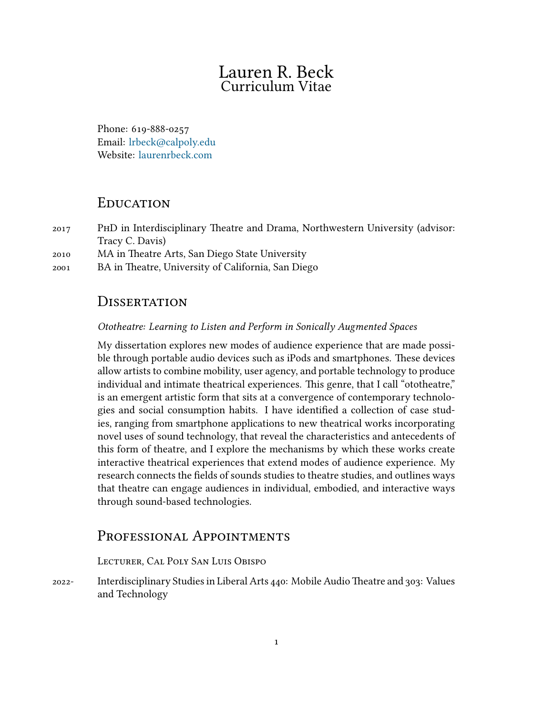# Lauren R. Beck Curriculum Vitae

Phone: 619-888-0257 Email: [lrbeck@calpoly.edu](mailto:lrbeck@calpoly.edu) Website: [laurenrbeck.com](http:laurenrbeck.com)

## EDUCATION

2017 PhD in Interdisciplinary Theatre and Drama, Northwestern University (advisor: Tracy C. Davis)

2010 MA in Theatre Arts, San Diego State University

2001 BA in Theatre, University of California, San Diego

# **DISSERTATION**

#### *Ototheatre: Learning to Listen and Perform in Sonically Augmented Spaces*

My dissertation explores new modes of audience experience that are made possible through portable audio devices such as iPods and smartphones. These devices allow artists to combine mobility, user agency, and portable technology to produce individual and intimate theatrical experiences. This genre, that I call "ototheatre," is an emergent artistic form that sits at a convergence of contemporary technologies and social consumption habits. I have identified a collection of case studies, ranging from smartphone applications to new theatrical works incorporating novel uses of sound technology, that reveal the characteristics and antecedents of this form of theatre, and I explore the mechanisms by which these works create interactive theatrical experiences that extend modes of audience experience. My research connects the fields of sounds studies to theatre studies, and outlines ways that theatre can engage audiences in individual, embodied, and interactive ways through sound-based technologies.

## PROFESSIONAL APPOINTMENTS

#### LectuReR, Cal Poly San Luis Obispo

2022- Interdisciplinary Studies in Liberal Arts 440: Mobile AudioTheatre and 303: Values and Technology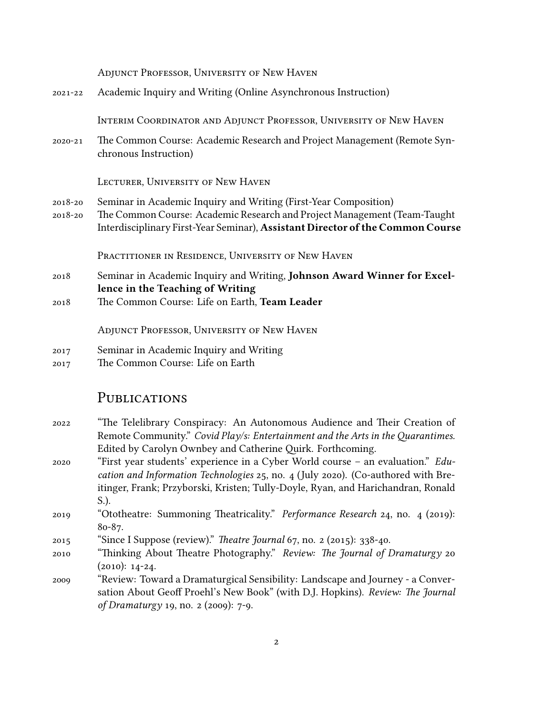| ADJUNCT PROFESSOR, UNIVERSITY OF NEW HAVEN                                                                                                                  |
|-------------------------------------------------------------------------------------------------------------------------------------------------------------|
| Academic Inquiry and Writing (Online Asynchronous Instruction)                                                                                              |
| INTERIM COORDINATOR AND ADJUNCT PROFESSOR, UNIVERSITY OF NEW HAVEN                                                                                          |
| The Common Course: Academic Research and Project Management (Remote Syn-<br>chronous Instruction)                                                           |
| LECTURER, UNIVERSITY OF NEW HAVEN                                                                                                                           |
| Seminar in Academic Inquiry and Writing (First-Year Composition)                                                                                            |
| The Common Course: Academic Research and Project Management (Team-Taught)<br>Interdisciplinary First-Year Seminar), Assistant Director of the Common Course |
| PRACTITIONER IN RESIDENCE, UNIVERSITY OF NEW HAVEN                                                                                                          |
| Seminar in Academic Inquiry and Writing, Johnson Award Winner for Excel-                                                                                    |
| lence in the Teaching of Writing                                                                                                                            |
| The Common Course: Life on Earth, Team Leader                                                                                                               |
| ADJUNCT PROFESSOR, UNIVERSITY OF NEW HAVEN                                                                                                                  |
| Seminar in Academic Inquiry and Writing                                                                                                                     |
| The Common Course: Life on Earth                                                                                                                            |
|                                                                                                                                                             |

#### **PUBLICATIONS**

- 2022 "The Telelibrary Conspiracy: An Autonomous Audience and Their Creation of Remote Community." *Covid Play/s: Entertainment and the Arts in the Quarantimes.* Edited by Carolyn Ownbey and Catherine Quirk. Forthcoming.
- 2020 "First year students' experience in a Cyber World course an evaluation." *Education and Information Technologies* 25, no. 4 (July 2020). (Co-authored with Breitinger, Frank; Przyborski, Kristen; Tully-Doyle, Ryan, and Harichandran, Ronald S.).
- 2019 "Ototheatre: Summoning Theatricality." *Performance Research* 24, no. 4 (2019): 80-87.
- 2015 "Since I Suppose (review)." *Theatre Journal* 67, no. 2 (2015): 338-40.
- 2010 "Thinking About Theatre Photography." *Review: The Journal of Dramaturgy* 20 (2010): 14-24.
- 2009 "Review: Toward a Dramaturgical Sensibility: Landscape and Journey a Conversation About Geoff Proehl's New Book" (with D.J. Hopkins). *Review: The Journal of Dramaturgy* 19, no. 2 (2009): 7-9.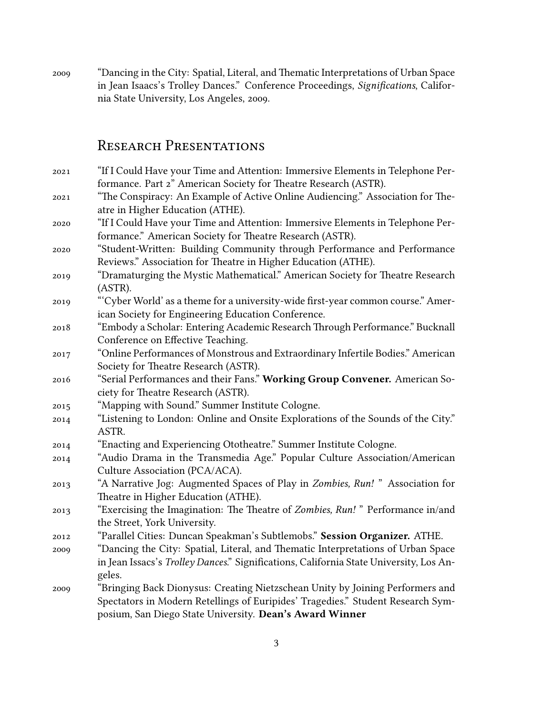2009 "Dancing in the City: Spatial, Literal, and Thematic Interpretations of Urban Space in Jean Isaacs's Trolley Dances." Conference Proceedings, *Significations*, California State University, Los Angeles, 2009.

### RESEARCH PRESENTATIONS

- 2021 "If I Could Have your Time and Attention: Immersive Elements in Telephone Performance. Part 2" American Society for Theatre Research (ASTR). 2021 "The Conspiracy: An Example of Active Online Audiencing." Association for The-
- atre in Higher Education (ATHE). 2020 "If I Could Have your Time and Attention: Immersive Elements in Telephone Performance." American Society for Theatre Research (ASTR).
- 2020 "Student-Written: Building Community through Performance and Performance Reviews." Association for Theatre in Higher Education (ATHE).
- 2019 "Dramaturging the Mystic Mathematical." American Society for Theatre Research (ASTR).
- 2019 "'Cyber World' as a theme for a university-wide first-year common course." American Society for Engineering Education Conference.
- 2018 "Embody a Scholar: Entering Academic Research Through Performance." Bucknall Conference on Effective Teaching.
- 2017 "Online Performances of Monstrous and Extraordinary Infertile Bodies." American Society for Theatre Research (ASTR).
- 2016 "Serial Performances and their Fans." **Working Group Convener.** American Society for Theatre Research (ASTR).
- 2015 "Mapping with Sound." Summer Institute Cologne.
- 2014 "Listening to London: Online and Onsite Explorations of the Sounds of the City." ASTR.
- 2014 "Enacting and Experiencing Ototheatre." Summer Institute Cologne.
- 2014 "Audio Drama in the Transmedia Age." Popular Culture Association/American Culture Association (PCA/ACA).
- 2013 "A Narrative Jog: Augmented Spaces of Play in *Zombies, Run!* " Association for Theatre in Higher Education (ATHE).
- 2013 "Exercising the Imagination: The Theatre of *Zombies, Run!* " Performance in/and the Street, York University.
- 2012 "Parallel Cities: Duncan Speakman's Subtlemobs." **Session Organizer.** ATHE.
- 2009 "Dancing the City: Spatial, Literal, and Thematic Interpretations of Urban Space in Jean Issacs's *Trolley Dances*." Significations, California State University, Los Angeles.
- 2009 "Bringing Back Dionysus: Creating Nietzschean Unity by Joining Performers and Spectators in Modern Retellings of Euripides' Tragedies." Student Research Symposium, San Diego State University. **Dean's Award Winner**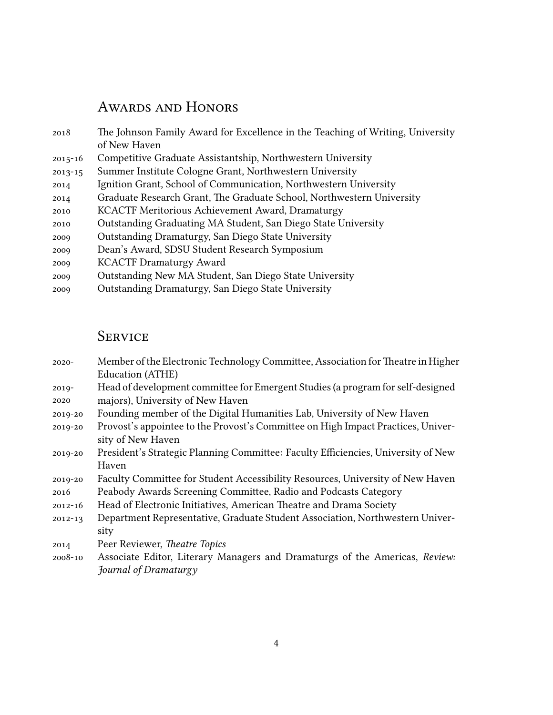# AWARDS AND HONORS

| 2018        | The Johnson Family Award for Excellence in the Teaching of Writing, University |
|-------------|--------------------------------------------------------------------------------|
|             | of New Haven                                                                   |
| $2015 - 16$ | Competitive Graduate Assistantship, Northwestern University                    |
| $2013 - 15$ | Summer Institute Cologne Grant, Northwestern University                        |
| 2014        | Ignition Grant, School of Communication, Northwestern University               |
| 2014        | Graduate Research Grant, The Graduate School, Northwestern University          |
| 2010        | KCACTF Meritorious Achievement Award, Dramaturgy                               |
| 2010        | Outstanding Graduating MA Student, San Diego State University                  |
| 2009        | Outstanding Dramaturgy, San Diego State University                             |
| 2009        | Dean's Award, SDSU Student Research Symposium                                  |
| 2009        | <b>KCACTF Dramaturgy Award</b>                                                 |
| 2009        | Outstanding New MA Student, San Diego State University                         |
| 2009        | Outstanding Dramaturgy, San Diego State University                             |
|             |                                                                                |

# **SERVICE**

| $2020 -$ | Member of the Electronic Technology Committee, Association for Theatre in Higher |
|----------|----------------------------------------------------------------------------------|
|          | Education (ATHE)                                                                 |

2019- 2020 Head of development committee for Emergent Studies (a program for self-designed majors), University of New Haven

- 2019-20 Founding member of the Digital Humanities Lab, University of New Haven
- 2019-20 Provost's appointee to the Provost's Committee on High Impact Practices, University of New Haven
- 2019-20 President's Strategic Planning Committee: Faculty Efficiencies, University of New Haven
- 2019-20 Faculty Committee for Student Accessibility Resources, University of New Haven
- 2016 Peabody Awards Screening Committee, Radio and Podcasts Category
- 2012-16 Head of Electronic Initiatives, American Theatre and Drama Society
- 2012-13 Department Representative, Graduate Student Association, Northwestern University
- 2014 Peer Reviewer, *Theatre Topics*
- 2008-10 Associate Editor, Literary Managers and Dramaturgs of the Americas, *Review: Journal of Dramaturgy*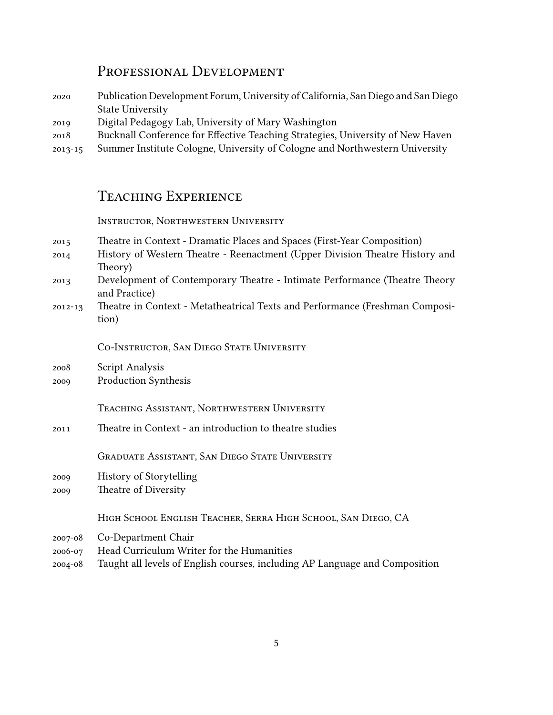# PRofessional Development

- 2020 Publication Development Forum, University of California, San Diego and San Diego State University
- 2019 Digital Pedagogy Lab, University of Mary Washington
- 2018 Bucknall Conference for Effective Teaching Strategies, University of New Haven
- 2013-15 Summer Institute Cologne, University of Cologne and Northwestern University

# Teaching ExpeRience

INSTRUCTOR, NORTHWESTERN UNIVERSITY

- 2015 Theatre in Context Dramatic Places and Spaces (First-Year Composition)
- 2014 History of Western Theatre Reenactment (Upper Division Theatre History and Theory)
- 2013 Development of Contemporary Theatre Intimate Performance (Theatre Theory and Practice)
- 2012-13 Theatre in Context Metatheatrical Texts and Performance (Freshman Composition)

Co-InstRuctoR, San Diego State UniveRsity

- 2008 Script Analysis
- 2009 Production Synthesis

TEACHING ASSISTANT, NORTHWESTERN UNIVERSITY

2011 Theatre in Context - an introduction to theatre studies

GRADUATE ASSISTANT, SAN DIEGO STATE UNIVERSITY

- 2009 History of Storytelling
- 2009 Theatre of Diversity

High School English TeacheR, SeRRa High School, San Diego, CA

- 2007-08 Co-Department Chair
- 2006-07 Head Curriculum Writer for the Humanities
- 2004-08 Taught all levels of English courses, including AP Language and Composition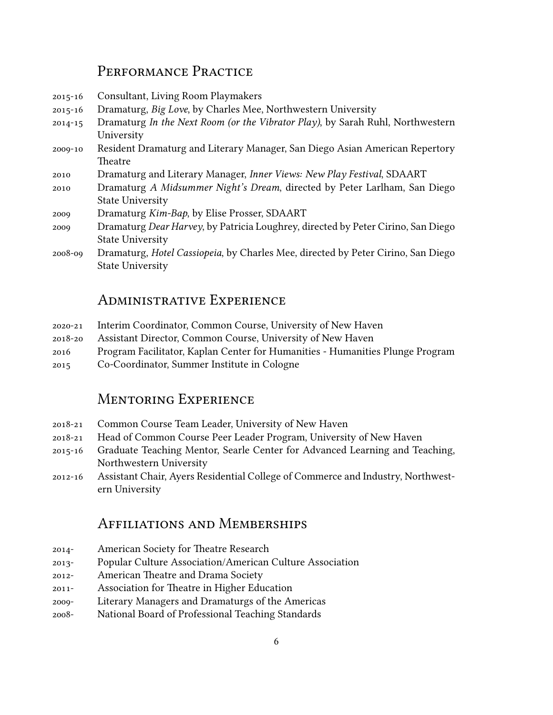# PERFORMANCE PRACTICE

- 2015-16 Consultant, Living Room Playmakers
- 2015-16 Dramaturg, *Big Love*, by Charles Mee, Northwestern University
- 2014-15 Dramaturg *In the Next Room (or the Vibrator Play)*, by Sarah Ruhl, Northwestern University
- 2009-10 Resident Dramaturg and Literary Manager, San Diego Asian American Repertory Theatre
- 2010 Dramaturg and Literary Manager, *Inner Views: New Play Festival*, SDAART
- 2010 Dramaturg *A Midsummer Night's Dream*, directed by Peter Larlham, San Diego State University
- 2009 Dramaturg *Kim-Bap*, by Elise Prosser, SDAART
- 2009 Dramaturg *Dear Harvey*, by Patricia Loughrey, directed by Peter Cirino, San Diego State University
- 2008-09 Dramaturg, *Hotel Cassiopeia*, by Charles Mee, directed by Peter Cirino, San Diego State University

## AdministRative ExpeRience

- 2020-21 Interim Coordinator, Common Course, University of New Haven
- 2018-20 Assistant Director, Common Course, University of New Haven
- 2016 Program Facilitator, Kaplan Center for Humanities Humanities Plunge Program
- 2015 Co-Coordinator, Summer Institute in Cologne

# MentoRing ExpeRience

- 2018-21 Common Course Team Leader, University of New Haven
- 2018-21 Head of Common Course Peer Leader Program, University of New Haven
- 2015-16 Graduate Teaching Mentor, Searle Center for Advanced Learning and Teaching, Northwestern University
- 2012-16 Assistant Chair, Ayers Residential College of Commerce and Industry, Northwestern University

# Affiliations and MembeRships

- 2014- American Society for Theatre Research
- 2013- Popular Culture Association/American Culture Association
- 2012- American Theatre and Drama Society
- 2011- Association for Theatre in Higher Education
- 2009- Literary Managers and Dramaturgs of the Americas
- 2008- National Board of Professional Teaching Standards